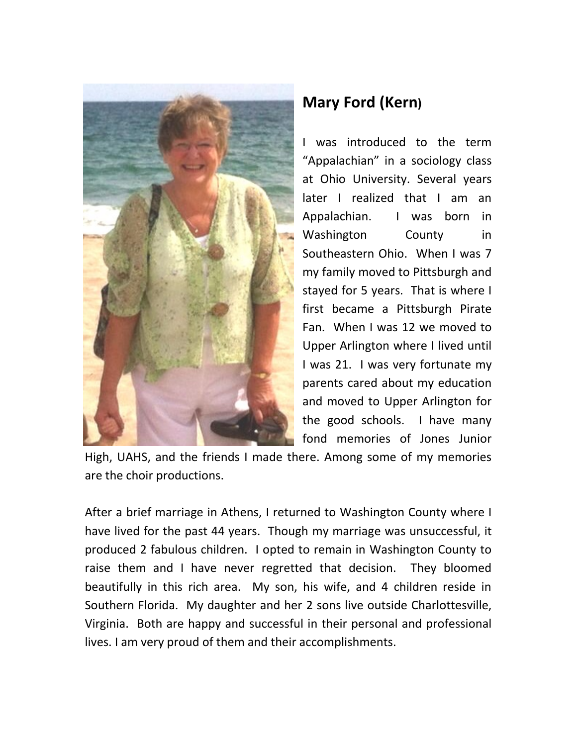

## **Mary Ford (Kern)**

I was introduced to the term "Appalachian" in a sociology class at Ohio University. Several years later I realized that I am an Appalachian. I was born in Washington County in Southeastern Ohio. When I was 7 my family moved to Pittsburgh and stayed for 5 years. That is where I first became a Pittsburgh Pirate Fan. When I was 12 we moved to Upper Arlington where I lived until I was 21. I was very fortunate my parents cared about my education and moved to Upper Arlington for the good schools. I have many fond memories of Jones Junior

High, UAHS, and the friends I made there. Among some of my memories are the choir productions.

After a brief marriage in Athens, I returned to Washington County where I have lived for the past 44 years. Though my marriage was unsuccessful, it produced 2 fabulous children. I opted to remain in Washington County to raise them and I have never regretted that decision. They bloomed beautifully in this rich area. My son, his wife, and 4 children reside in Southern Florida. My daughter and her 2 sons live outside Charlottesville, Virginia. Both are happy and successful in their personal and professional lives. I am very proud of them and their accomplishments.